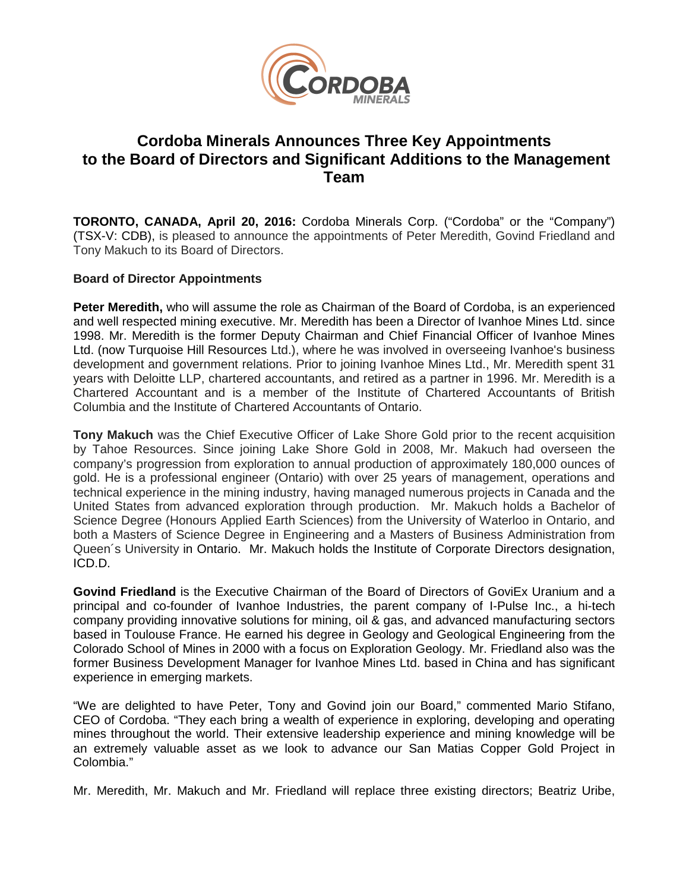

# **Cordoba Minerals Announces Three Key Appointments to the Board of Directors and Significant Additions to the Management Team**

**TORONTO, CANADA, April 20, 2016:** Cordoba Minerals Corp. ("Cordoba" or the "Company") (TSX-V: CDB), is pleased to announce the appointments of Peter Meredith, Govind Friedland and Tony Makuch to its Board of Directors.

## **Board of Director Appointments**

**Peter Meredith,** who will assume the role as Chairman of the Board of Cordoba, is an experienced and well respected mining executive. Mr. Meredith has been a Director of Ivanhoe Mines Ltd. since 1998. Mr. Meredith is the former Deputy Chairman and Chief Financial Officer of Ivanhoe Mines Ltd. (now Turquoise Hill Resources Ltd.), where he was involved in overseeing Ivanhoe's business development and government relations. Prior to joining Ivanhoe Mines Ltd., Mr. Meredith spent 31 years with Deloitte LLP, chartered accountants, and retired as a partner in 1996. Mr. Meredith is a Chartered Accountant and is a member of the Institute of Chartered Accountants of British Columbia and the Institute of Chartered Accountants of Ontario.

**Tony Makuch** was the Chief Executive Officer of Lake Shore Gold prior to the recent acquisition by Tahoe Resources. Since joining Lake Shore Gold in 2008, Mr. Makuch had overseen the company's progression from exploration to annual production of approximately 180,000 ounces of gold. He is a professional engineer (Ontario) with over 25 years of management, operations and technical experience in the mining industry, having managed numerous projects in Canada and the United States from advanced exploration through production. Mr. Makuch holds a Bachelor of Science Degree (Honours Applied Earth Sciences) from the University of Waterloo in Ontario, and both a Masters of Science Degree in Engineering and a Masters of Business Administration from Queen´s University in Ontario. Mr. Makuch holds the Institute of Corporate Directors designation, ICD.D.

**Govind Friedland** is the Executive Chairman of the Board of Directors of GoviEx Uranium and a principal and co-founder of Ivanhoe Industries, the parent company of I-Pulse Inc., a hi-tech company providing innovative solutions for mining, oil & gas, and advanced manufacturing sectors based in Toulouse France. He earned his degree in Geology and Geological Engineering from the Colorado School of Mines in 2000 with a focus on Exploration Geology. Mr. Friedland also was the former Business Development Manager for Ivanhoe Mines Ltd. based in China and has significant experience in emerging markets.

"We are delighted to have Peter, Tony and Govind join our Board," commented Mario Stifano, CEO of Cordoba. "They each bring a wealth of experience in exploring, developing and operating mines throughout the world. Their extensive leadership experience and mining knowledge will be an extremely valuable asset as we look to advance our San Matias Copper Gold Project in Colombia."

Mr. Meredith, Mr. Makuch and Mr. Friedland will replace three existing directors; Beatriz Uribe,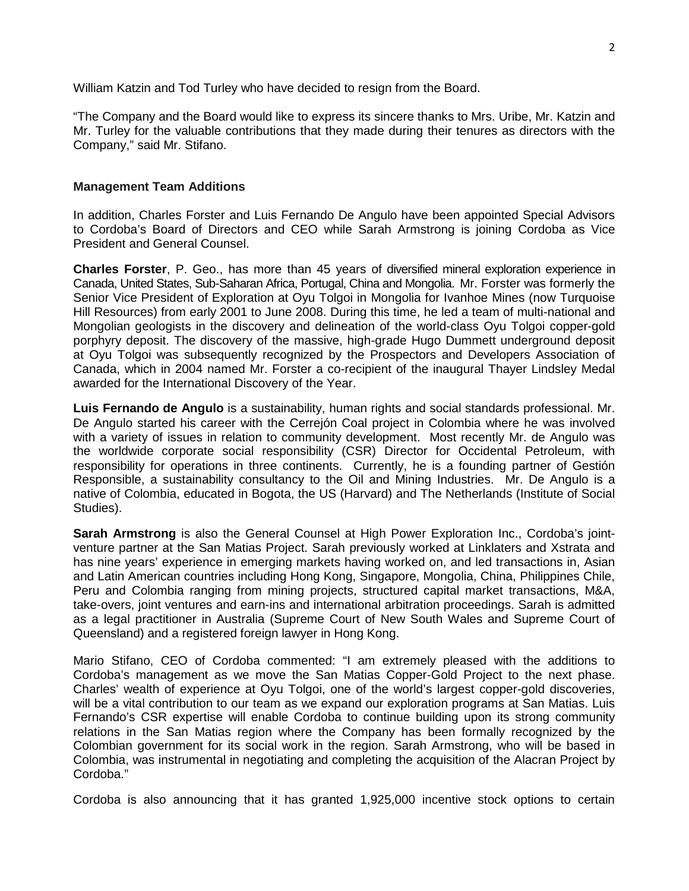William Katzin and Tod Turley who have decided to resign from the Board.

"The Company and the Board would like to express its sincere thanks to Mrs. Uribe, Mr. Katzin and Mr. Turley for the valuable contributions that they made during their tenures as directors with the Company," said Mr. Stifano.

## **Management Team Additions**

In addition, Charles Forster and Luis Fernando De Angulo have been appointed Special Advisors to Cordoba's Board of Directors and CEO while Sarah Armstrong is joining Cordoba as Vice President and General Counsel.

**Charles Forster**, P. Geo., has more than 45 years of diversified mineral exploration experience in Canada, United States, Sub-Saharan Africa, Portugal, China and Mongolia. Mr. Forster was formerly the Senior Vice President of Exploration at Oyu Tolgoi in Mongolia for Ivanhoe Mines (now Turquoise Hill Resources) from early 2001 to June 2008. During this time, he led a team of multi-national and Mongolian geologists in the discovery and delineation of the world-class Oyu Tolgoi copper-gold porphyry deposit. The discovery of the massive, high-grade Hugo Dummett underground deposit at Oyu Tolgoi was subsequently recognized by the Prospectors and Developers Association of Canada, which in 2004 named Mr. Forster a co-recipient of the inaugural Thayer Lindsley Medal awarded for the International Discovery of the Year.

**Luis Fernando de Angulo** is a sustainability, human rights and social standards professional. Mr. De Angulo started his career with the Cerrejón Coal project in Colombia where he was involved with a variety of issues in relation to community development. Most recently Mr. de Angulo was the worldwide corporate social responsibility (CSR) Director for Occidental Petroleum, with responsibility for operations in three continents. Currently, he is a founding partner of Gestión Responsible, a sustainability consultancy to the Oil and Mining Industries. Mr. De Angulo is a native of Colombia, educated in Bogota, the US (Harvard) and The Netherlands (Institute of Social Studies).

**Sarah Armstrong** is also the General Counsel at High Power Exploration Inc., Cordoba's jointventure partner at the San Matias Project. Sarah previously worked at Linklaters and Xstrata and has nine years' experience in emerging markets having worked on, and led transactions in, Asian and Latin American countries including Hong Kong, Singapore, Mongolia, China, Philippines Chile, Peru and Colombia ranging from mining projects, structured capital market transactions, M&A, take-overs, joint ventures and earn-ins and international arbitration proceedings. Sarah is admitted as a legal practitioner in Australia (Supreme Court of New South Wales and Supreme Court of Queensland) and a registered foreign lawyer in Hong Kong.

Mario Stifano, CEO of Cordoba commented: "I am extremely pleased with the additions to Cordoba's management as we move the San Matias Copper-Gold Project to the next phase. Charles' wealth of experience at Oyu Tolgoi, one of the world's largest copper-gold discoveries, will be a vital contribution to our team as we expand our exploration programs at San Matias. Luis Fernando's CSR expertise will enable Cordoba to continue building upon its strong community relations in the San Matias region where the Company has been formally recognized by the Colombian government for its social work in the region. Sarah Armstrong, who will be based in Colombia, was instrumental in negotiating and completing the acquisition of the Alacran Project by Cordoba."

Cordoba is also announcing that it has granted 1,925,000 incentive stock options to certain